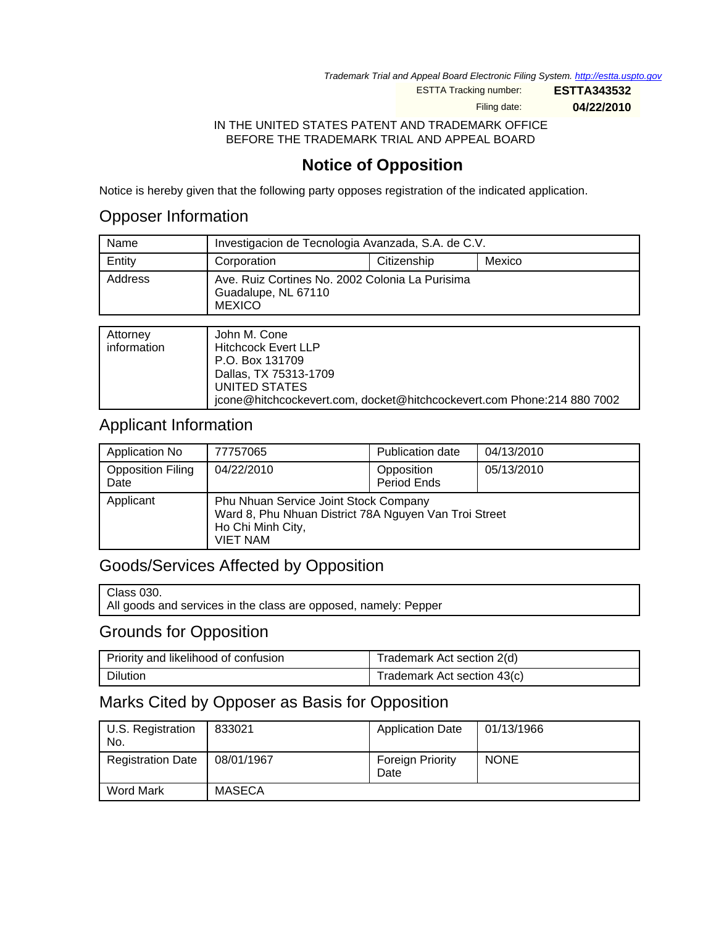Trademark Trial and Appeal Board Electronic Filing System. <http://estta.uspto.gov>

ESTTA Tracking number: **ESTTA343532**

Filing date: **04/22/2010**

IN THE UNITED STATES PATENT AND TRADEMARK OFFICE BEFORE THE TRADEMARK TRIAL AND APPEAL BOARD

# **Notice of Opposition**

Notice is hereby given that the following party opposes registration of the indicated application.

### Opposer Information

| Name    | Investigacion de Tecnologia Avanzada, S.A. de C.V.                                      |  |  |  |
|---------|-----------------------------------------------------------------------------------------|--|--|--|
| Entity  | Citizenship<br>Mexico<br>Corporation                                                    |  |  |  |
| Address | Ave. Ruiz Cortines No. 2002 Colonia La Purisima<br>Guadalupe, NL 67110<br><b>MEXICO</b> |  |  |  |

| Attorney<br>information | John M. Cone<br><b>Hitchcock Evert LLP</b>                             |
|-------------------------|------------------------------------------------------------------------|
|                         | P.O. Box 131709                                                        |
|                         | Dallas, TX 75313-1709                                                  |
|                         | UNITED STATES                                                          |
|                         | jcone@hitchcockevert.com, docket@hitchcockevert.com Phone:214 880 7002 |

#### Applicant Information

| Application No                   | 77757065                                                                                                                               | <b>Publication date</b>   | 04/13/2010 |
|----------------------------------|----------------------------------------------------------------------------------------------------------------------------------------|---------------------------|------------|
| <b>Opposition Filing</b><br>Date | 04/22/2010                                                                                                                             | Opposition<br>Period Ends | 05/13/2010 |
| Applicant                        | Phu Nhuan Service Joint Stock Company<br>Ward 8, Phu Nhuan District 78A Nguyen Van Troi Street<br>Ho Chi Minh City,<br><b>VIET NAM</b> |                           |            |

### Goods/Services Affected by Opposition

All goods and services in the class are opposed, namely: Pepper

### Grounds for Opposition

| Priority and likelihood of confusion | Trademark Act section 2(d)  |
|--------------------------------------|-----------------------------|
| Dilution                             | Trademark Act section 43(c) |

### Marks Cited by Opposer as Basis for Opposition

| U.S. Registration<br>No. | 833021     | <b>Application Date</b>         | 01/13/1966  |
|--------------------------|------------|---------------------------------|-------------|
| <b>Registration Date</b> | 08/01/1967 | <b>Foreign Priority</b><br>Date | <b>NONE</b> |
| Word Mark                | MASECA     |                                 |             |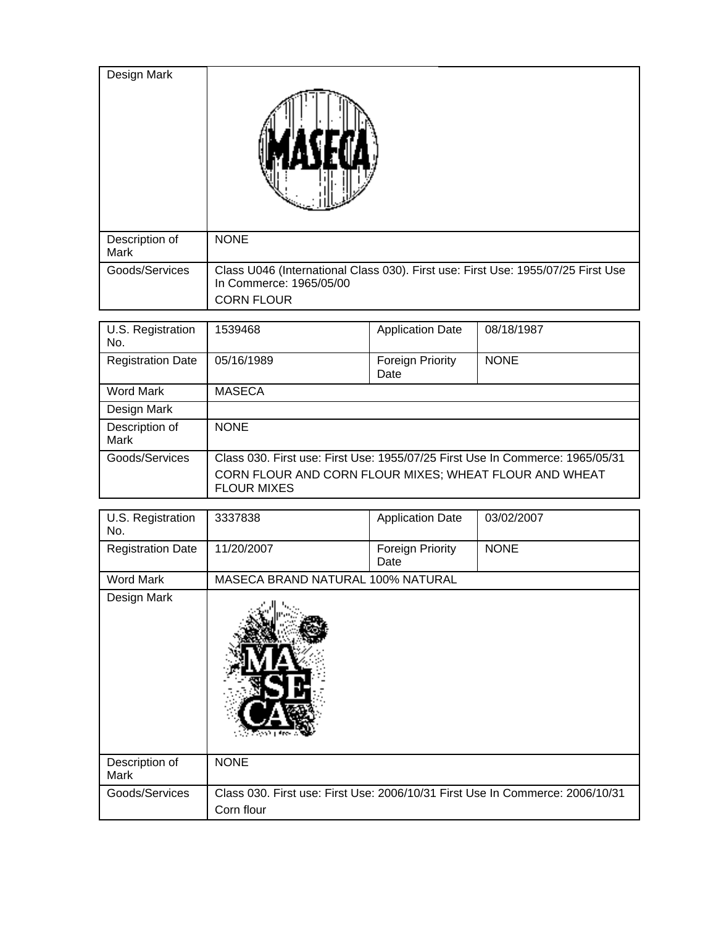| Design Mark            |                                                                                                                                  |
|------------------------|----------------------------------------------------------------------------------------------------------------------------------|
| Description of<br>Mark | <b>NONE</b>                                                                                                                      |
| Goods/Services         | Class U046 (International Class 030). First use: First Use: 1955/07/25 First Use<br>In Commerce: 1965/05/00<br><b>CORN FLOUR</b> |

| U.S. Registration<br>No. | 1539468                                                                       | <b>Application Date</b>  | 08/18/1987  |
|--------------------------|-------------------------------------------------------------------------------|--------------------------|-------------|
| <b>Registration Date</b> | 05/16/1989                                                                    | Foreign Priority<br>Date | <b>NONE</b> |
| Word Mark                | <b>MASECA</b>                                                                 |                          |             |
| Design Mark              |                                                                               |                          |             |
| Description of<br>Mark   | <b>NONE</b>                                                                   |                          |             |
| Goods/Services           | Class 030. First use: First Use: 1955/07/25 First Use In Commerce: 1965/05/31 |                          |             |
|                          | CORN FLOUR AND CORN FLOUR MIXES; WHEAT FLOUR AND WHEAT<br><b>FLOUR MIXES</b>  |                          |             |

| U.S. Registration<br>No. | 3337838                                                                                     | <b>Application Date</b>         | 03/02/2007  |
|--------------------------|---------------------------------------------------------------------------------------------|---------------------------------|-------------|
| <b>Registration Date</b> | 11/20/2007                                                                                  | <b>Foreign Priority</b><br>Date | <b>NONE</b> |
| <b>Word Mark</b>         | MASECA BRAND NATURAL 100% NATURAL                                                           |                                 |             |
| Design Mark              |                                                                                             |                                 |             |
| Description of<br>Mark   | <b>NONE</b>                                                                                 |                                 |             |
| Goods/Services           | Class 030. First use: First Use: 2006/10/31 First Use In Commerce: 2006/10/31<br>Corn flour |                                 |             |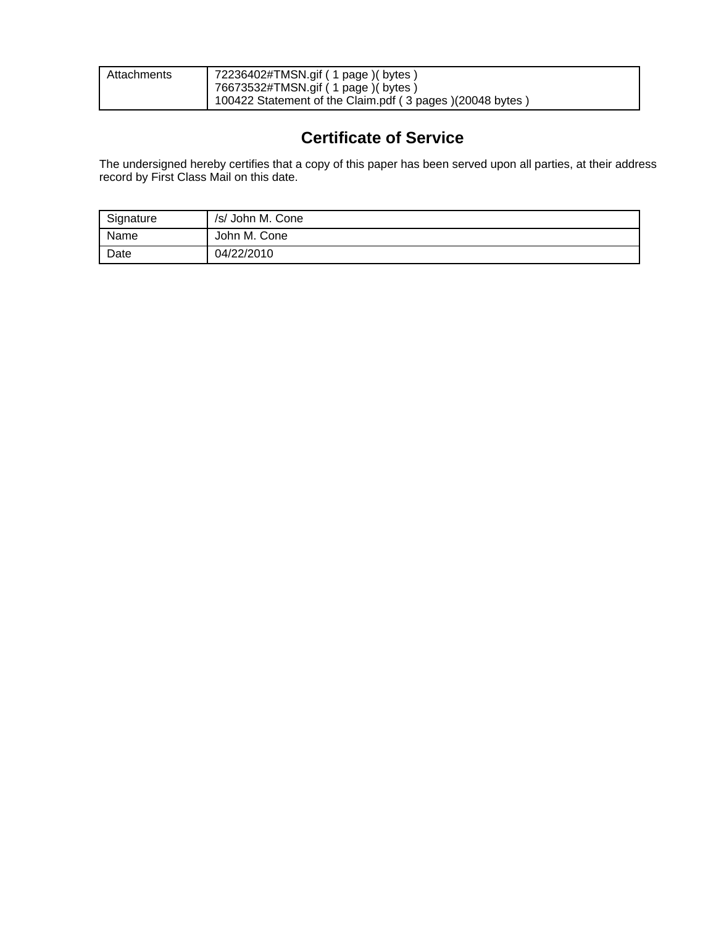| Attachments | 72236402#TMSN.gif ( 1 page )( bytes )<br>76673532#TMSN.gif (1 page) (bytes) |
|-------------|-----------------------------------------------------------------------------|
|             | 100422 Statement of the Claim.pdf (3 pages) (20048 bytes)                   |

## **Certificate of Service**

The undersigned hereby certifies that a copy of this paper has been served upon all parties, at their address record by First Class Mail on this date.

| Signature | /s/ John M. Cone |
|-----------|------------------|
| Name      | John M. Cone     |
| Date      | 04/22/2010       |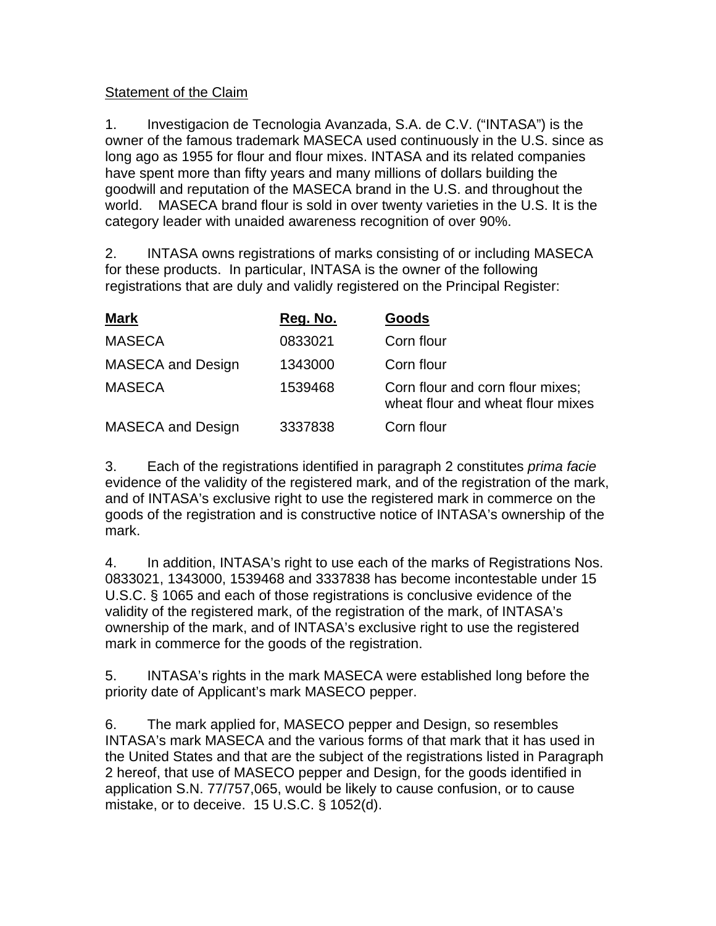#### Statement of the Claim

1. Investigacion de Tecnologia Avanzada, S.A. de C.V. ("INTASA") is the owner of the famous trademark MASECA used continuously in the U.S. since as long ago as 1955 for flour and flour mixes. INTASA and its related companies have spent more than fifty years and many millions of dollars building the goodwill and reputation of the MASECA brand in the U.S. and throughout the world. MASECA brand flour is sold in over twenty varieties in the U.S. It is the category leader with unaided awareness recognition of over 90%.

2. INTASA owns registrations of marks consisting of or including MASECA for these products. In particular, INTASA is the owner of the following registrations that are duly and validly registered on the Principal Register:

| <u>Mark</u>              | Reg. No. | Goods                                                                 |
|--------------------------|----------|-----------------------------------------------------------------------|
| <b>MASECA</b>            | 0833021  | Corn flour                                                            |
| <b>MASECA and Design</b> | 1343000  | Corn flour                                                            |
| <b>MASECA</b>            | 1539468  | Corn flour and corn flour mixes;<br>wheat flour and wheat flour mixes |
| <b>MASECA and Design</b> | 3337838  | Corn flour                                                            |

3. Each of the registrations identified in paragraph 2 constitutes prima facie evidence of the validity of the registered mark, and of the registration of the mark, and of INTASA's exclusive right to use the registered mark in commerce on the goods of the registration and is constructive notice of INTASA's ownership of the mark.

4. In addition, INTASA's right to use each of the marks of Registrations Nos. 0833021, 1343000, 1539468 and 3337838 has become incontestable under 15 U.S.C. § 1065 and each of those registrations is conclusive evidence of the validity of the registered mark, of the registration of the mark, of INTASA's ownership of the mark, and of INTASA's exclusive right to use the registered mark in commerce for the goods of the registration.

5. INTASA's rights in the mark MASECA were established long before the priority date of Applicant's mark MASECO pepper.

6. The mark applied for, MASECO pepper and Design, so resembles INTASA's mark MASECA and the various forms of that mark that it has used in the United States and that are the subject of the registrations listed in Paragraph 2 hereof, that use of MASECO pepper and Design, for the goods identified in application S.N. 77/757,065, would be likely to cause confusion, or to cause mistake, or to deceive. 15 U.S.C. § 1052(d).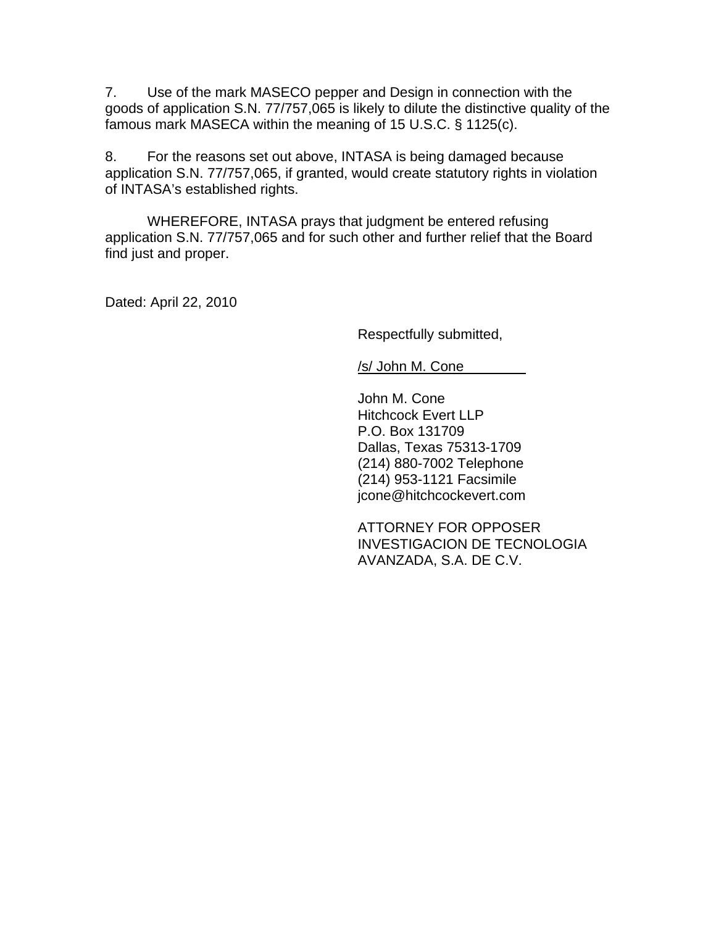7. Use of the mark MASECO pepper and Design in connection with the goods of application S.N. 77/757,065 is likely to dilute the distinctive quality of the famous mark MASECA within the meaning of 15 U.S.C. § 1125(c).

8. For the reasons set out above, INTASA is being damaged because application S.N. 77/757,065, if granted, would create statutory rights in violation of INTASA's established rights.

WHEREFORE, INTASA prays that judgment be entered refusing application S.N. 77/757,065 and for such other and further relief that the Board find just and proper.

Dated: April 22, 2010

Respectfully submitted,

/s/ John M. Cone

John M. Cone Hitchcock Evert LLP P.O. Box 131709 Dallas, Texas 75313-1709 (214) 880-7002 Telephone (214) 953-1121 Facsimile jcone@hitchcockevert.com

ATTORNEY FOR OPPOSER INVESTIGACION DE TECNOLOGIA AVANZADA, S.A. DE C.V.